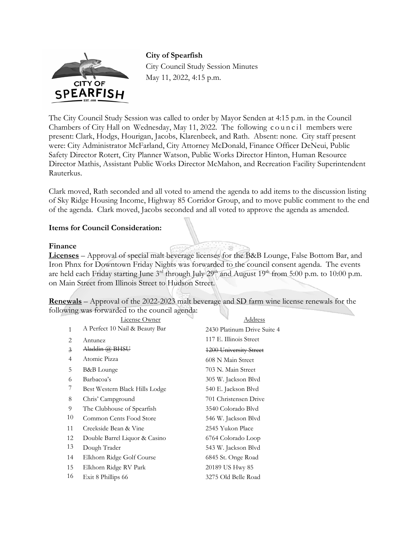

**City of Spearfish**  City Council Study Session Minutes May 11, 2022, 4:15 p.m.

The City Council Study Session was called to order by Mayor Senden at 4:15 p.m. in the Council Chambers of City Hall on Wednesday, May 11, 2022. The following council members were present: Clark, Hodgs, Hourigan, Jacobs, Klarenbeek, and Rath. Absent: none. City staff present were: City Administrator McFarland, City Attorney McDonald, Finance Officer DeNeui, Public Safety Director Rotert, City Planner Watson, Public Works Director Hinton, Human Resource Director Mathis, Assistant Public Works Director McMahon, and Recreation Facility Superintendent Rauterkus.

Clark moved, Rath seconded and all voted to amend the agenda to add items to the discussion listing of Sky Ridge Housing Income, Highway 85 Corridor Group, and to move public comment to the end of the agenda. Clark moved, Jacobs seconded and all voted to approve the agenda as amended.

# **Items for Council Consideration:**

## **Finance**

**Licenses** – Approval of special malt beverage licenses for the B&B Lounge, False Bottom Bar, and Iron Phnx for Downtown Friday Nights was forwarded to the council consent agenda. The events are held each Friday starting June  $3<sup>rd</sup>$  through July  $29<sup>th</sup>$  and August  $19<sup>th</sup>$  from 5:00 p.m. to 10:00 p.m. on Main Street from Illinois Street to Hudson Street.

**Renewals** – Approval of the 2022-2023 malt beverage and SD farm wine license renewals for the following was forwarded to the council agenda:

|                | License Owner                  | Address                     |
|----------------|--------------------------------|-----------------------------|
| $\mathbf{1}$   | A Perfect 10 Nail & Beauty Bar | 2430 Platinum Drive Suite 4 |
| 2              | Antunez                        | 117 E. Illinois Street      |
| $\overline{3}$ | Aladdin @ BHSU                 | 1200 University Street      |
| 4              | Atomic Pizza                   | 608 N Main Street           |
| 5              | B&B Lounge                     | 703 N. Main Street          |
| 6              | Barbacoa's                     | 305 W. Jackson Blvd         |
| 7              | Best Western Black Hills Lodge | 540 E. Jackson Blvd         |
| 8              | Chris' Campground              | 701 Christensen Drive       |
| 9              | The Clubhouse of Spearfish     | 3540 Colorado Blyd          |
| 10             | Common Cents Food Store        | 546 W. Jackson Blvd         |
| 11             | Creekside Bean & Vine          | 2545 Yukon Place            |
| 12             | Double Barrel Liquor & Casino  | 6764 Colorado Loop          |
| 13             | Dough Trader                   | 543 W. Jackson Blvd         |
| 14             | Elkhorn Ridge Golf Course      | 6845 St. Onge Road          |
| 15             | Elkhorn Ridge RV Park          | 20189 US Hwy 85             |
| 16             | Exit 8 Phillips 66             | 3275 Old Belle Road         |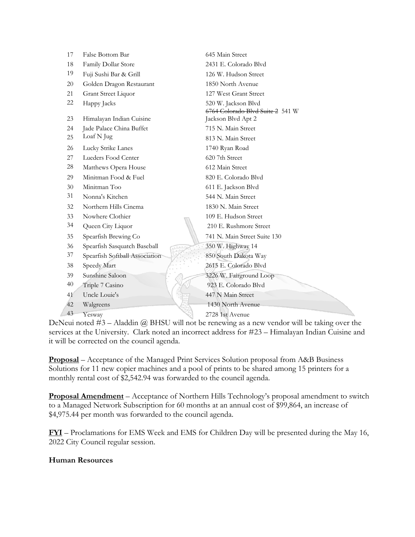| 17 | False Bottom Bar               | 645 Main Street                  |
|----|--------------------------------|----------------------------------|
| 18 | Family Dollar Store            | 2431 E. Colorado Blvd            |
| 19 | Fuji Sushi Bar & Grill         | 126 W. Hudson Street             |
| 20 | Golden Dragon Restaurant       | 1850 North Avenue                |
| 21 | Grant Street Liquor            | 127 West Grant Street            |
| 22 | Happy Jacks                    | 520 W. Jackson Blvd              |
|    |                                | 6764 Colorado Blvd Suite 2 541 W |
| 23 | Himalayan Indian Cuisine       | Jackson Blvd Apt 2               |
| 24 | Jade Palace China Buffet       | 715 N. Main Street               |
| 25 | Loaf N Jug                     | 813 N. Main Street               |
| 26 | Lucky Strike Lanes             | 1740 Ryan Road                   |
| 27 | Lueders Food Center            | 620 7th Street                   |
| 28 | Matthews Opera House           | 612 Main Street                  |
| 29 | Minitman Food & Fuel           | 820 E. Colorado Blvd             |
| 30 | Minitman Too                   | 611 E. Jackson Blvd              |
| 31 | Nonna's Kitchen                | 544 N. Main Street               |
| 32 | Northern Hills Cinema          | 1830 N. Main Street              |
| 33 | Nowhere Clothier               | 109 E. Hudson Street             |
| 34 | Queen City Liquor              | 210 E. Rushmore Street           |
| 35 | Spearfish Brewing Co           | 741 N. Main Street Suite 130     |
| 36 | Spearfish Sasquatch Baseball   | 350 W. Highway 14                |
| 37 | Spearfish Softball Association | 850 South Dakota Way             |
| 38 | Speedy Mart                    | 2615 E. Colorado Blvd            |
| 39 | Sunshine Saloon                | 3226 W. Fairground Loop          |
| 40 | Triple 7 Casino                | 923 E. Colorado Blvd             |
| 41 | Uncle Louie's                  | 447 N Main Street                |
| 42 | Walgreens                      | 1430 North Avenue                |
| 43 | Yesway                         | 2728 1st Avenue                  |

DeNeui noted  $#3$  – Aladdin  $@$  BHSU will not be renewing as a new vendor will be taking over the services at the University. Clark noted an incorrect address for #23 – Himalayan Indian Cuisine and it will be corrected on the council agenda.

**Proposal** – Acceptance of the Managed Print Services Solution proposal from A&B Business Solutions for 11 new copier machines and a pool of prints to be shared among 15 printers for a monthly rental cost of \$2,542.94 was forwarded to the council agenda.

**Proposal Amendment** – Acceptance of Northern Hills Technology's proposal amendment to switch to a Managed Network Subscription for 60 months at an annual cost of \$99,864, an increase of \$4,975.44 per month was forwarded to the council agenda.

**FYI** – Proclamations for EMS Week and EMS for Children Day will be presented during the May 16, 2022 City Council regular session.

## **Human Resources**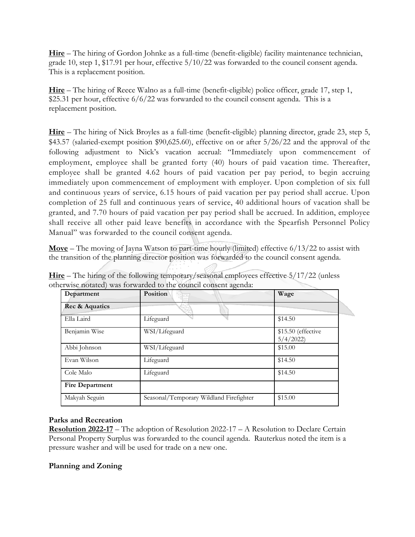**Hire** – The hiring of Gordon Johnke as a full-time (benefit-eligible) facility maintenance technician, grade 10, step 1, \$17.91 per hour, effective 5/10/22 was forwarded to the council consent agenda. This is a replacement position.

**Hire** – The hiring of Reece Walno as a full-time (benefit-eligible) police officer, grade 17, step 1, \$25.31 per hour, effective 6/6/22 was forwarded to the council consent agenda. This is a replacement position.

**Hire** – The hiring of Nick Broyles as a full-time (benefit-eligible) planning director, grade 23, step 5, \$43.57 (salaried-exempt position \$90,625.60), effective on or after 5/26/22 and the approval of the following adjustment to Nick's vacation accrual: "Immediately upon commencement of employment, employee shall be granted forty (40) hours of paid vacation time. Thereafter, employee shall be granted 4.62 hours of paid vacation per pay period, to begin accruing immediately upon commencement of employment with employer. Upon completion of six full and continuous years of service, 6.15 hours of paid vacation per pay period shall accrue. Upon completion of 25 full and continuous years of service, 40 additional hours of vacation shall be granted, and 7.70 hours of paid vacation per pay period shall be accrued. In addition, employee shall receive all other paid leave benefits in accordance with the Spearfish Personnel Policy Manual" was forwarded to the council consent agenda.

**Move** – The moving of Jayna Watson to part-time hourly (limited) effective 6/13/22 to assist with the transition of the planning director position was forwarded to the council consent agenda.

| Department             | Position                                | Wage                           |
|------------------------|-----------------------------------------|--------------------------------|
| Rec & Aquatics         |                                         |                                |
| Ella Laird             | Lifeguard                               | \$14.50                        |
| Benjamin Wise          | WSI/Lifeguard                           | \$15.50 (effective<br>5/4/2022 |
| Abbi Johnson           | WSI/Lifeguard                           | \$15.00                        |
| Evan Wilson            | Lifeguard                               | \$14.50                        |
| Cole Malo              | Lifeguard                               | \$14.50                        |
| <b>Fire Department</b> |                                         |                                |
| Makyah Seguin          | Seasonal/Temporary Wildland Firefighter | \$15.00                        |

**Hire** – The hiring of the following temporary/seasonal employees effective 5/17/22 (unless otherwise notated) was forwarded to the council consent agenda:

## **Parks and Recreation**

**Resolution 2022-17** – The adoption of Resolution 2022-17 – A Resolution to Declare Certain Personal Property Surplus was forwarded to the council agenda. Rauterkus noted the item is a pressure washer and will be used for trade on a new one.

## **Planning and Zoning**